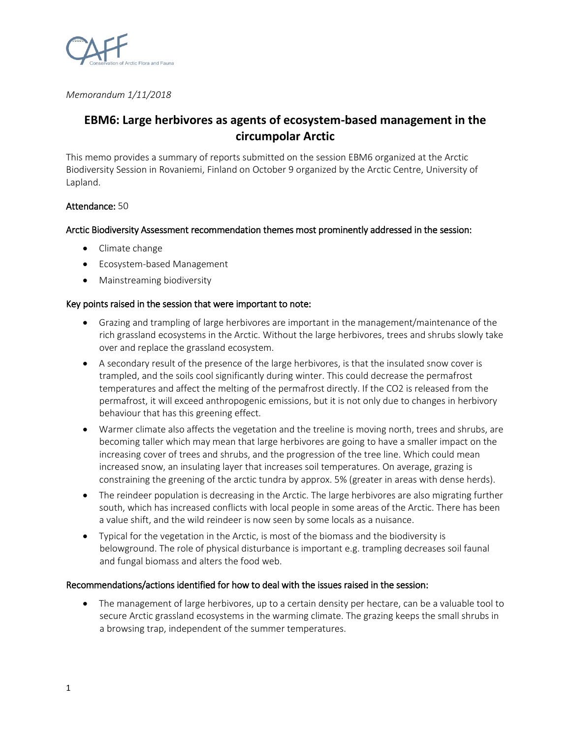

*Memorandum 1/11/2018*

# **EBM6: Large herbivores as agents of ecosystem-based management in the circumpolar Arctic**

This memo provides a summary of reports submitted on the session EBM6 organized at the Arctic Biodiversity Session in Rovaniemi, Finland on October 9 organized by the Arctic Centre, University of Lapland.

## Attendance: 50

## Arctic Biodiversity Assessment recommendation themes most prominently addressed in the session:

- Climate change
- Ecosystem-based Management
- Mainstreaming biodiversity

### Key points raised in the session that were important to note:

- Grazing and trampling of large herbivores are important in the management/maintenance of the rich grassland ecosystems in the Arctic. Without the large herbivores, trees and shrubs slowly take over and replace the grassland ecosystem.
- A secondary result of the presence of the large herbivores, is that the insulated snow cover is trampled, and the soils cool significantly during winter. This could decrease the permafrost temperatures and affect the melting of the permafrost directly. If the CO2 is released from the permafrost, it will exceed anthropogenic emissions, but it is not only due to changes in herbivory behaviour that has this greening effect.
- Warmer climate also affects the vegetation and the treeline is moving north, trees and shrubs, are becoming taller which may mean that large herbivores are going to have a smaller impact on the increasing cover of trees and shrubs, and the progression of the tree line. Which could mean increased snow, an insulating layer that increases soil temperatures. On average, grazing is constraining the greening of the arctic tundra by approx. 5% (greater in areas with dense herds).
- The reindeer population is decreasing in the Arctic. The large herbivores are also migrating further south, which has increased conflicts with local people in some areas of the Arctic. There has been a value shift, and the wild reindeer is now seen by some locals as a nuisance.
- Typical for the vegetation in the Arctic, is most of the biomass and the biodiversity is belowground. The role of physical disturbance is important e.g. trampling decreases soil faunal and fungal biomass and alters the food web.

### Recommendations/actions identified for how to deal with the issues raised in the session:

• The management of large herbivores, up to a certain density per hectare, can be a valuable tool to secure Arctic grassland ecosystems in the warming climate. The grazing keeps the small shrubs in a browsing trap, independent of the summer temperatures.